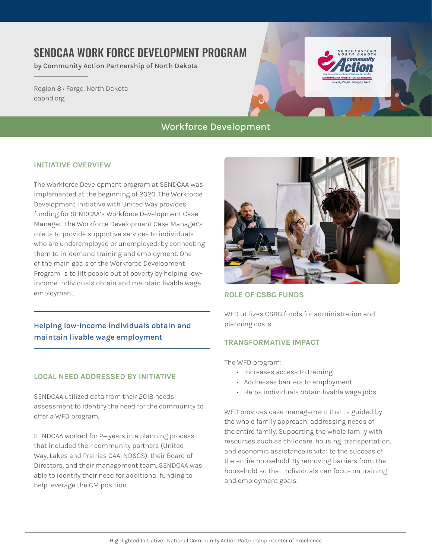# SENDCAA WORK FORCE DEVELOPMENT PROGRAM

by Community Action Partnership of North Dakota

Region 8 • Fargo, North Dakota [capnd.org](https://www.capnd.org/)

# Workforce Development

### **INITIATIVE OVERVIEW**

The Workforce Development program at SENDCAA was implemented at the beginning of 2020. The Workforce Development Initiative with United Way provides funding for SENDCAA's Workforce Development Case Manager. The Workforce Development Case Manager's role is to provide supportive services to individuals who are underemployed or unemployed; by connecting them to in-demand training and employment. One of the main goals of the Workforce Development Program is to lift people out of poverty by helping lowincome individuals obtain and maintain livable wage employment.

# **Helping low-income individuals obtain and maintain livable wage employment**

## **LOCAL NEED ADDRESSED BY INITIATIVE**

SENDCAA utilized data from their 2018 needs assessment to identify the need for the community to offer a WFD program.

SENDCAA worked for 2+ years in a planning process that included their community partners (United Way, Lakes and Prairies CAA, NDSCS), their Board of Directors, and their management team. SENDCAA was able to identify their need for additional funding to help leverage the CM position.



### **ROLE OF CSBG FUNDS**

WFD utilizes CSBG funds for administration and planning costs.

## **TRANSFORMATIVE IMPACT**

The WFD program:

- Increases access to training
- Addresses barriers to employment
- Helps individuals obtain livable wage jobs

WFD provides case management that is guided by the whole family approach; addressing needs of the entire family. Supporting the whole family with resources such as childcare, housing, transportation, and economic assistance is vital to the success of the entire household. By removing barriers from the household so that individuals can focus on training and employment goals.